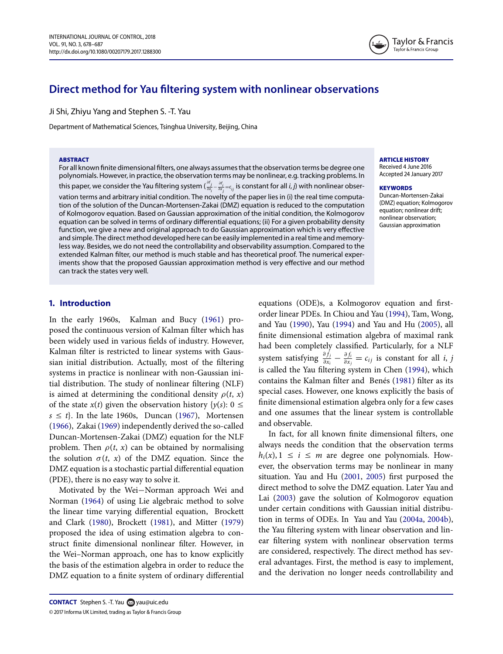# **Direct method for Yau filtering system with nonlinear observations**

Ji Shi, Zhiyu Yang and Stephen S. -T. Yau

Department of Mathematical Sciences, Tsinghua University, Beijing, China

#### **ABSTRACT**

For all known finite dimensional filters, one always assumes that the observation terms be degree one polynomials. However, in practice, the observation terms may be nonlinear, e.g. tracking problems. In this paper, we consider the Yau filtering system ( $\frac{\partial f_j}{\partial x_j}-\frac{\partial f_j}{\partial x_j}=c_{ij}$  is constant for all *i*, *j*) with nonlinear observation terms and arbitrary initial condition. The novelty of the paper lies in (i) the real time computation of the solution of the Duncan-Mortensen-Zakai (DMZ) equation is reduced to the computation of Kolmogorov equation. Based on Gaussian approximation of the initial condition, the Kolmogorov equation can be solved in terms of ordinary differential equations; (ii) For a given probability density function, we give a new and original approach to do Gaussian approximation which is very effective and simple. The direct method developed here can be easily implemented in a real time and memoryless way. Besides, we do not need the controllability and observability assumption. Compared to the extended Kalman filter, our method is much stable and has theoretical proof. The numerical experiments show that the proposed Gaussian approximation method is very effective and our method can track the states very well.

#### **ARTICLE HISTORY**

Received 4 June 2016 Accepted 24 January 2017

#### **KEYWORDS**

<span id="page-0-13"></span><span id="page-0-4"></span>Duncan-Mortensen-Zakai (DMZ) equation; Kolmogorov equation; nonlinear drift; nonlinear observation; Gaussian approximation

# **1. Introduction**

In the early 1960s, Kalman and Bucy [\(1961\)](#page-8-0) proposed the continuous version of Kalman filter which has been widely used in various fields of industry. However, Kalman filter is restricted to linear systems with Gaussian initial distribution. Actually, most of the filtering systems in practice is nonlinear with non-Gaussian initial distribution. The study of nonlinear filtering (NLF) is aimed at determining the conditional density  $\rho(t, x)$ of the state  $x(t)$  given the observation history  $\{y(s): 0 \leq$  $s \leq t$ . In the late 1960s, Duncan [\(1967\)](#page-8-1), Mortensen [\(1966\)](#page-8-2), Zakai [\(1969\)](#page-9-0) independently derived the so-called Duncan-Mortensen-Zakai (DMZ) equation for the NLF problem. Then  $\rho(t, x)$  can be obtained by normalising the solution  $\sigma(t, x)$  of the DMZ equation. Since the DMZ equation is a stochastic partial differential equation (PDE), there is no easy way to solve it.

<span id="page-0-17"></span><span id="page-0-10"></span><span id="page-0-7"></span><span id="page-0-2"></span><span id="page-0-1"></span>Motivated by the Wei−Norman approach Wei and Norman [\(1964\)](#page-8-3) of using Lie algebraic method to solve the linear time varying differential equation, Brockett and Clark [\(1980\)](#page-8-4), Brockett [\(1981\)](#page-8-5), and Mitter [\(1979\)](#page-8-6) proposed the idea of using estimation algebra to construct finite dimensional nonlinear filter. However, in the Wei–Norman approach, one has to know explicitly the basis of the estimation algebra in order to reduce the DMZ equation to a finite system of ordinary differential <span id="page-0-11"></span><span id="page-0-9"></span><span id="page-0-6"></span><span id="page-0-3"></span>equations (ODE)s, a Kolmogorov equation and firstorder linear PDEs. In Chiou and Yau [\(1994\)](#page-8-7), Tam, Wong, and Yau [\(1990\)](#page-8-8), Yau [\(1994\)](#page-8-9) and Yau and Hu [\(2005\)](#page-8-10), all finite dimensional estimation algebra of maximal rank had been completely classified. Particularly, for a NLF system satisfying  $\frac{\partial f_j}{\partial x_i} - \frac{\partial f_i}{\partial x_j} = c_{ij}$  is constant for all *i*, *j* is called the Yau filtering system in Chen [\(1994\)](#page-8-11), which contains the Kalman filter and Benés [\(1981\)](#page-8-12) filter as its special cases. However, one knows explicitly the basis of finite dimensional estimation algebra only for a few cases and one assumes that the linear system is controllable and observable.

<span id="page-0-16"></span><span id="page-0-15"></span><span id="page-0-14"></span><span id="page-0-12"></span><span id="page-0-8"></span><span id="page-0-5"></span><span id="page-0-0"></span>In fact, for all known finite dimensional filters, one always needs the condition that the observation terms  $h_i(x)$ ,  $1 \le i \le m$  are degree one polynomials. However, the observation terms may be nonlinear in many situation. Yau and Hu [\(2001,](#page-8-13) [2005\)](#page-8-10) first purposed the direct method to solve the DMZ equation. Later Yau and Lai [\(2003\)](#page-8-14) gave the solution of Kolmogorov equation under certain conditions with Gaussian initial distribution in terms of ODEs. In Yau and Yau [\(2004a,](#page-9-1) [2004b\)](#page-9-2), the Yau filtering system with linear observation and linear filtering system with nonlinear observation terms are considered, respectively. The direct method has several advantages. First, the method is easy to implement, and the derivation no longer needs controllability and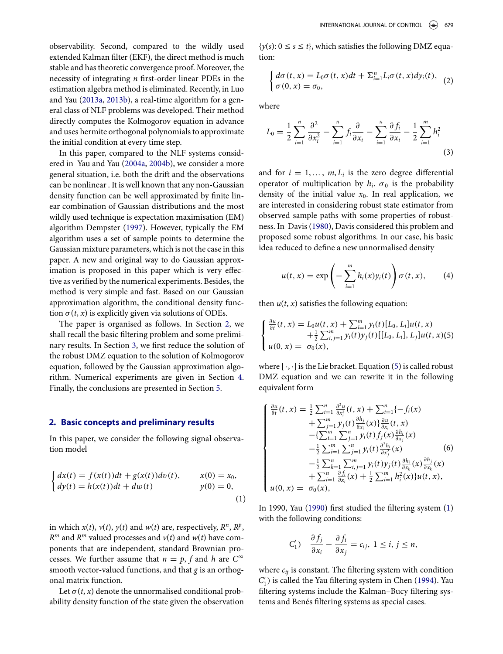<span id="page-1-8"></span><span id="page-1-7"></span>observability. Second, compared to the wildly used extended Kalman filter (EKF), the direct method is much stable and has theoretic convergence proof. Moreover, the necessity of integrating *n* first-order linear PDEs in the estimation algebra method is eliminated. Recently, in Luo and Yau [\(2013a,](#page-8-15) [2013b\)](#page-8-16), a real-time algorithm for a general class of NLF problems was developed. Their method directly computes the Kolmogorov equation in advance and uses hermite orthogonal polynomials to approximate the initial condition at every time step.

<span id="page-1-6"></span>In this paper, compared to the NLF systems considered in Yau and Yau [\(2004a,](#page-9-1) [2004b\)](#page-9-2), we consider a more general situation, i.e. both the drift and the observations can be nonlinear . It is well known that any non-Gaussian density function can be well approximated by finite linear combination of Gaussian distributions and the most wildly used technique is expectation maximisation (EM) algorithm Dempster [\(1997\)](#page-8-17). However, typically the EM algorithm uses a set of sample points to determine the Gaussian mixture parameters, which is not the case in this paper. A new and original way to do Gaussian approximation is proposed in this paper which is very effective as verified by the numerical experiments. Besides, the method is very simple and fast. Based on our Gaussian approximation algorithm, the conditional density function  $\sigma(t, x)$  is explicitly given via solutions of ODEs.

The paper is organised as follows. In Section [2,](#page-1-0) we shall recall the basic filtering problem and some preliminary results. In Section [3,](#page-2-0) we first reduce the solution of the robust DMZ equation to the solution of Kolmogorov equation, followed by the Gaussian approximation algorithm. Numerical experiments are given in Section [4.](#page-5-0) Finally, the conclusions are presented in Section [5.](#page-8-18)

#### <span id="page-1-0"></span>**2. Basic concepts and preliminary results**

In this paper, we consider the following signal observation model

$$
\begin{cases} dx(t) = f(x(t))dt + g(x(t))dv(t), & x(0) = x_0, \\ dy(t) = h(x(t))dt + dw(t) & y(0) = 0, \end{cases}
$$
\n(1)

in which  $x(t)$ ,  $v(t)$ ,  $y(t)$  and  $w(t)$  are, respectively,  $R^n$ ,  $R^p$ ,  $R^m$  and  $R^m$  valued processes and  $v(t)$  and  $w(t)$  have components that are independent, standard Brownian processes. We further assume that  $n = p$ , f and h are  $C^{\infty}$ smooth vector-valued functions, and that *g* is an orthogonal matrix function.

Let  $\sigma(t, x)$  denote the unnormalised conditional probability density function of the state given the observation

 $\{y(s): 0 \le s \le t\}$ , which satisfies the following DMZ equation:

$$
\begin{cases} d\sigma(t,x) = L_0\sigma(t,x)dt + \Sigma_{i=1}^n L_i\sigma(t,x)dy_i(t), \\ \sigma(0,x) = \sigma_0, \end{cases} (2)
$$

where

$$
L_0 = \frac{1}{2} \sum_{i=1}^n \frac{\partial^2}{\partial x_i^2} - \sum_{i=1}^n f_i \frac{\partial}{\partial x_i} - \sum_{i=1}^n \frac{\partial f_i}{\partial x_i} - \frac{1}{2} \sum_{i=1}^m h_i^2
$$
\n(3)

and for  $i = 1, ..., m, L_i$  is the zero degree differential operator of multiplication by  $h_i$ .  $\sigma_0$  is the probability density of the initial value  $x_0$ . In real application, we are interested in considering robust state estimator from observed sample paths with some properties of robustness. In Davis [\(1980\)](#page-8-19), Davis considered this problem and proposed some robust algorithms. In our case, his basic idea reduced to define a new unnormalised density

<span id="page-1-5"></span><span id="page-1-4"></span><span id="page-1-1"></span>
$$
u(t,x) = \exp\left(-\sum_{i=1}^{m} h_i(x) y_i(t)\right) \sigma(t,x), \qquad (4)
$$

then  $u(t, x)$  satisfies the following equation:

$$
\begin{cases} \frac{\partial u}{\partial t}(t,x) = L_0 u(t,x) + \sum_{i=1}^m y_i(t) [L_0, L_i] u(t,x) \\ \qquad + \frac{1}{2} \sum_{i,j=1}^m y_i(t) y_j(t) [[L_0, L_i], L_j] u(t,x)(5) \\ u(0,x) = \sigma_0(x), \end{cases}
$$

where  $[\cdot, \cdot]$  is the Lie bracket. Equation [\(5\)](#page-1-1) is called robust DMZ equation and we can rewrite it in the following equivalent form

$$
\begin{cases}\n\frac{\partial u}{\partial t}(t, x) = \frac{1}{2} \sum_{i=1}^{n} \frac{\partial^2 u}{\partial x_i^2}(t, x) + \sum_{i=1}^{n} \{-f_i(x) \\
+ \sum_{j=1}^{m} y_j(t) \frac{\partial h_j}{\partial x_i}(x)\} \frac{\partial u_i}{\partial x_i}(t, x) \\
- \{\sum_{i=1}^{m} \sum_{j=1}^{n} y_i(t) f_j(x) \frac{\partial h_i}{\partial x_j}(x) \\
- \frac{1}{2} \sum_{i=1}^{m} \sum_{j=1}^{n} y_i(t) \frac{\partial^2 h_i}{\partial x_j^2}(x) \\
- \frac{1}{2} \sum_{k=1}^{n} \sum_{i,j=1}^{m} y_i(t) y_j(t) \frac{\partial h_i}{\partial x_k}(x) \frac{\partial h_j}{\partial x_k}(x) \\
+ \sum_{i=1}^{n} \frac{\partial f_i}{\partial x_i}(x) + \frac{1}{2} \sum_{i=1}^{m} h_i^2(x) \} u(t, x), \\
u(0, x) = \sigma_0(x),\n\end{cases}
$$

<span id="page-1-2"></span>In 1990, Yau [\(1990\)](#page-8-20) first studied the filtering system [\(1\)](#page-1-2) with the following conditions:

<span id="page-1-9"></span><span id="page-1-3"></span>
$$
C'_1) \quad \frac{\partial f_j}{\partial x_i} - \frac{\partial f_i}{\partial x_j} = c_{ij}, \ 1 \le i, \ j \le n,
$$

where *cij* is constant. The filtering system with condition  $C'_{1}$ ) is called the Yau filtering system in Chen [\(1994\)](#page-8-11). Yau filtering systems include the Kalman–Bucy filtering systems and Benés filtering systems as special cases.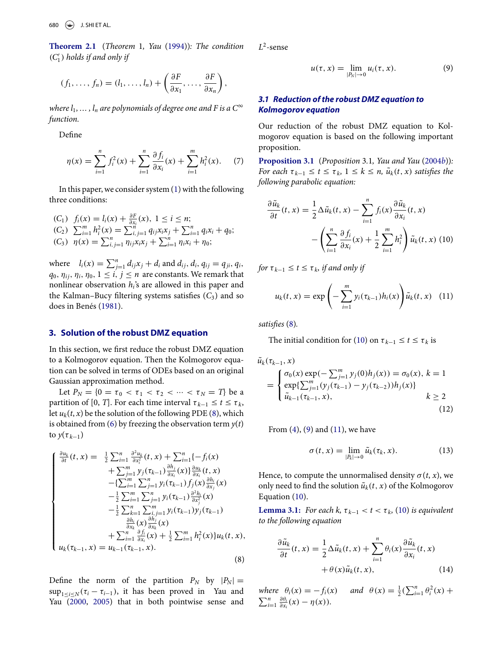<span id="page-2-7"></span>**Theorem 2.1** (*Theorem* 1*, Yau* [\(1994\)](#page-8-9))*: The condition* (*C*- <sup>1</sup> ) *holds if and only if*

$$
(f_1,\ldots,f_n)=(l_1,\ldots,l_n)+\left(\frac{\partial F}{\partial x_1},\ldots,\frac{\partial F}{\partial x_n}\right),
$$

*where*  $l_1, ..., l_n$  *are polynomials of degree one and F is a*  $C^{\infty}$ *function.*

Define

$$
\eta(x) = \sum_{i=1}^{n} f_i^2(x) + \sum_{i=1}^{n} \frac{\partial f_i}{\partial x_i}(x) + \sum_{i=1}^{m} h_i^2(x). \tag{7}
$$

In this paper, we consider system [\(1\)](#page-1-2) with the following three conditions:

(C<sub>1</sub>) 
$$
f_i(x) = l_i(x) + \frac{\partial F}{\partial x_i}(x), 1 \le i \le n;
$$
  
\n(C<sub>2</sub>)  $\sum_{i=1}^{m} h_i^2(x) = \sum_{i,j=1}^{n} q_{ij}x_ix_j + \sum_{i=1}^{n} q_ix_i + q_0;$   
\n(C<sub>3</sub>)  $\eta(x) = \sum_{i,j=1}^{n} \eta_{ij}x_ix_j + \sum_{i=1}^{n} \eta_{i}x_i + \eta_0;$ 

where  $l_i(x) = \sum_{j=1}^n d_{ij}x_j + d_i$  and  $d_{ij}$ ,  $d_i$ ,  $q_{ij} = q_{ji}$ ,  $q_i$ ,  $q_0$ ,  $\eta_{ii}$ ,  $\eta_i$ ,  $\eta_0$ ,  $1 \le i, j \le n$  are constants. We remark that nonlinear observation *hi*'s are allowed in this paper and the Kalman–Bucy filtering systems satisfies  $(C_3)$  and so does in Benés [\(1981\)](#page-8-12).

### **3. Solution of the robust DMZ equation**

<span id="page-2-0"></span>In this section, we first reduce the robust DMZ equation to a Kolmogorov equation. Then the Kolmogorov equation can be solved in terms of ODEs based on an original Gaussian approximation method.

Let  $P_N = \{0 = \tau_0 < \tau_1 < \tau_2 < \cdots < \tau_N = T\}$  be a partition of [0, *T*]. For each time interval  $\tau_{k-1} \leq t \leq \tau_k$ , let  $u_k(t, x)$  be the solution of the following PDE [\(8\)](#page-2-1), which is obtained from [\(6\)](#page-1-3) by freezing the observation term  $y(t)$ to  $y(\tau_{k-1})$ 

$$
\begin{cases}\n\frac{\partial u_k}{\partial t}(t, x) = \frac{1}{2} \sum_{i=1}^n \frac{\partial^2 u_k}{\partial x_i^2}(t, x) + \sum_{i=1}^n \{-f_i(x) \\
+ \sum_{j=1}^m y_j(\tau_{k-1}) \frac{\partial h_j}{\partial x_i}(x)\} \frac{\partial u_k}{\partial x_i}(t, x) \\
- \{\sum_{i=1}^m \sum_{j=1}^n y_i(\tau_{k-1}) f_j(x) \frac{\partial h_i}{\partial x_j}(x) \\
- \frac{1}{2} \sum_{i=1}^m \sum_{j=1}^n y_i(\tau_{k-1}) \frac{\partial^2 h_i}{\partial x_j^2}(x) \\
- \frac{1}{2} \sum_{k=1}^n \sum_{i,j=1}^m y_i(\tau_{k-1}) y_j(\tau_{k-1}) \\
\frac{\partial h_i}{\partial x_k}(x) \frac{\partial h_j}{\partial x_k}(x) \\
+ \sum_{i=1}^n \frac{\partial f_i}{\partial x_i}(x) + \frac{1}{2} \sum_{i=1}^m h_i^2(x) \} u_k(t, x), \\
u_k(\tau_{k-1}, x) = u_{k-1}(\tau_{k-1}, x).\n\end{cases}
$$
\n(8)

<span id="page-2-10"></span><span id="page-2-9"></span>Define the norm of the partition  $P_N$  by  $|P_N| =$  $\sup_{1 \le i \le N} (\tau_i - \tau_{i-1})$ , it has been proved in Yau and Yau [\(2000,](#page-9-3) [2005\)](#page-9-4) that in both pointwise sense and *L*<sup>2</sup>-sense

<span id="page-2-3"></span>
$$
u(\tau, x) = \lim_{|P_N| \to 0} u_i(\tau, x). \tag{9}
$$

# *3.1 Reduction of the robust DMZ equation to Kolmogorov equation*

Our reduction of the robust DMZ equation to Kolmogorov equation is based on the following important proposition.

<span id="page-2-5"></span>**Proposition 3.1** (*Proposition* 3*.*1*, Yau and Yau* [\(2004](#page-9-2)*b*))*: For each*  $\tau_{k-1} \leq t \leq \tau_k$ ,  $1 \leq k \leq n$ ,  $\tilde{u}_k(t, x)$  *satisfies the following parabolic equation:*

$$
\frac{\partial \tilde{u}_k}{\partial t}(t, x) = \frac{1}{2} \Delta \tilde{u}_k(t, x) - \sum_{i=1}^n f_i(x) \frac{\partial \tilde{u}_k}{\partial x_i}(t, x) - \left(\sum_{i=1}^n \frac{\partial f_i}{\partial x_i}(x) + \frac{1}{2} \sum_{i=1}^m h_i^2\right) \tilde{u}_k(t, x)
$$
(10)

*for*  $\tau_{k-1} \le t \le \tau_k$ , *if and only if* 

<span id="page-2-4"></span><span id="page-2-2"></span>
$$
u_k(t, x) = \exp \left(-\sum_{i=1}^m y_i(\tau_{k-1}) h_i(x)\right) \tilde{u}_k(t, x) \quad (11)
$$

*satisfies* [\(8\)](#page-2-1)*.*

The initial condition for [\(10\)](#page-2-2) on  $\tau_{k-1} \le t \le \tau_k$  is

$$
\tilde{u}_{k}(\tau_{k-1}, x) = \begin{cases}\n\sigma_{0}(x) \exp(-\sum_{j=1}^{m} y_{j}(0)h_{j}(x)) = \sigma_{0}(x), k = 1 \\
\exp\{\sum_{j=1}^{m} (y_{j}(\tau_{k-1}) - y_{j}(\tau_{k-2}))h_{j}(x)\} \\
\tilde{u}_{k-1}(\tau_{k-1}, x), & k \ge 2\n\end{cases}
$$
\n(12)

From  $(4)$ ,  $(9)$  and  $(11)$ , we have

<span id="page-2-8"></span>
$$
\sigma(t,x) = \lim_{|P_k| \to 0} \tilde{u}_k(\tau_k,x). \tag{13}
$$

Hence, to compute the unnormalised density  $\sigma(t, x)$ , we only need to find the solution  $\tilde{u}_k(t, x)$  of the Kolmogorov Equation [\(10\)](#page-2-2).

**Lemma 3.1:** *For each k,*  $\tau_{k-1} < t < \tau_k$ , [\(10\)](#page-2-2) *is equivalent to the following equation*

<span id="page-2-6"></span>
$$
\frac{\partial \tilde{u}_k}{\partial t}(t, x) = \frac{1}{2} \Delta \tilde{u}_k(t, x) + \sum_{i=1}^n \theta_i(x) \frac{\partial \tilde{u}_k}{\partial x_i}(t, x) + \theta(x) \tilde{u}_k(t, x), \qquad (14)
$$

<span id="page-2-1"></span>*where*  $\theta_i(x) = -f_i(x)$  *and*  $\theta(x) = \frac{1}{2} (\sum_{i=1}^n \theta_i^2(x) +$  $\sum_{i=1}^{n} \frac{\partial \theta_i}{\partial x_i}$  $rac{\partial \theta_i}{\partial x_i}(x) - \eta(x)$ ).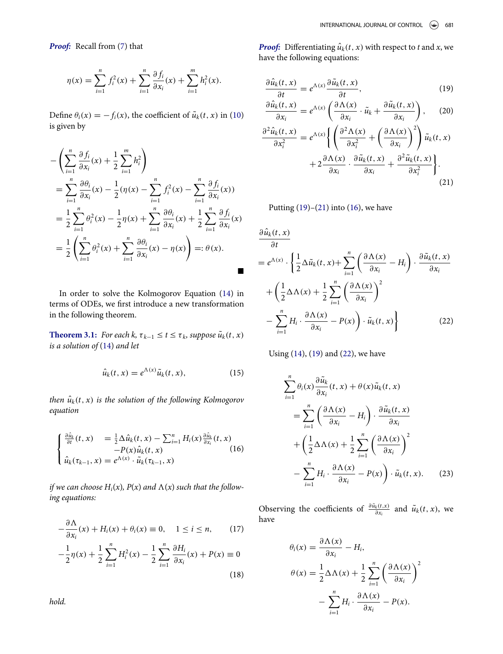*Proof:* Recall from [\(7\)](#page-2-5) that

$$
\eta(x) = \sum_{i=1}^{n} f_i^2(x) + \sum_{i=1}^{n} \frac{\partial f_i}{\partial x_i}(x) + \sum_{i=1}^{m} h_i^2(x).
$$

Define  $\theta_i(x) = -f_i(x)$ , the coefficient of  $\tilde{u}_k(t, x)$  in [\(10\)](#page-2-2) is given by

$$
-\left(\sum_{i=1}^{n} \frac{\partial f_i}{\partial x_i}(x) + \frac{1}{2} \sum_{i=1}^{m} h_i^2\right)
$$
  
= 
$$
\sum_{i=1}^{n} \frac{\partial \theta_i}{\partial x_i}(x) - \frac{1}{2}(\eta(x) - \sum_{i=1}^{n} f_i^2(x) - \sum_{i=1}^{n} \frac{\partial f_i}{\partial x_i}(x))
$$
  
= 
$$
\frac{1}{2} \sum_{i=1}^{n} \theta_i^2(x) - \frac{1}{2} \eta(x) + \sum_{i=1}^{n} \frac{\partial \theta_i}{\partial x_i}(x) + \frac{1}{2} \sum_{i=1}^{n} \frac{\partial f_i}{\partial x_i}(x)
$$
  
= 
$$
\frac{1}{2} \left(\sum_{i=1}^{n} \theta_i^2(x) + \sum_{i=1}^{n} \frac{\partial \theta_i}{\partial x_i}(x) - \eta(x)\right) =: \theta(x).
$$

In order to solve the Kolmogorov Equation [\(14\)](#page-2-6) in terms of ODEs, we first introduce a new transformation in the following theorem.

<span id="page-3-7"></span>**Theorem 3.1:** *For each k,*  $\tau_{k-1} \le t \le \tau_k$ *, suppose*  $\tilde{u}_k(t, x)$ *is a solution of* [\(14\)](#page-2-6) *and let*

$$
\hat{u}_k(t,x) = e^{\Lambda(x)} \tilde{u}_k(t,x), \qquad (15)
$$

*then*  $\hat{u}_k(t, x)$  *is the solution of the following Kolmogorov equation*

$$
\begin{cases} \frac{\partial \hat{u}_k}{\partial t}(t,x) = \frac{1}{2} \Delta \hat{u}_k(t,x) - \sum_{i=1}^n H_i(x) \frac{\partial \hat{u}_k}{\partial x_i}(t,x) \\ -P(x) \hat{u}_k(t,x) \qquad (16) \\ \hat{u}_k(\tau_{k-1},x) = e^{\Lambda(x)} \cdot \tilde{u}_k(\tau_{k-1},x) \end{cases}
$$

if we can choose  $H_i(x)$ ,  $P(x)$  and  $\Lambda(x)$  such that the follow*ing equations:*

$$
-\frac{\partial \Lambda}{\partial x_i}(x) + H_i(x) + \theta_i(x) \equiv 0, \quad 1 \le i \le n,
$$
 (17)  

$$
-\frac{1}{2}\eta(x) + \frac{1}{2}\sum_{i=1}^n H_i^2(x) - \frac{1}{2}\sum_{i=1}^n \frac{\partial H_i}{\partial x_i}(x) + P(x) \equiv 0
$$
 (18)

*Proof:* Differentiating  $\hat{u}_k(t, x)$  with respect to *t* and *x*, we have the following equations:

<span id="page-3-0"></span>
$$
\frac{\partial \hat{u}_k(t,x)}{\partial t} = e^{\Lambda(x)} \frac{\partial \tilde{u}_k(t,x)}{\partial t},\tag{19}
$$

$$
\frac{\partial \hat{u}_k(t,x)}{\partial x_i} = e^{\Lambda(x)} \left( \frac{\partial \Lambda(x)}{\partial x_i} \cdot \tilde{u}_k + \frac{\partial \tilde{u}_k(t,x)}{\partial x_i} \right), \quad (20)
$$

$$
\frac{\partial^2 \hat{u}_k(t, x)}{\partial x_i^2} = e^{\Lambda(x)} \left\{ \left( \frac{\partial^2 \Lambda(x)}{\partial x_i^2} + \left( \frac{\partial \Lambda(x)}{\partial x_i} \right)^2 \right) \tilde{u}_k(t, x) + 2 \frac{\partial \Lambda(x)}{\partial x_i} \cdot \frac{\partial \tilde{u}_k(t, x)}{\partial x_i} + \frac{\partial^2 \tilde{u}_k(t, x)}{\partial x_i^2} \right\}.
$$
\n(21)

<span id="page-3-1"></span>Putting  $(19)$ – $(21)$  into  $(16)$ , we have

$$
\frac{\partial \hat{u}_k(t, x)}{\partial t} = e^{\Lambda(x)} \cdot \left\{ \frac{1}{2} \Delta \tilde{u}_k(t, x) + \sum_{i=1}^n \left( \frac{\partial \Lambda(x)}{\partial x_i} - H_i \right) \cdot \frac{\partial \tilde{u}_k(t, x)}{\partial x_i} + \left( \frac{1}{2} \Delta \Lambda(x) + \frac{1}{2} \sum_{i=1}^n \left( \frac{\partial \Lambda(x)}{\partial x_i} \right)^2 - \sum_{i=1}^n H_i \cdot \frac{\partial \Lambda(x)}{\partial x_i} - P(x) \right) \cdot \tilde{u}_k(t, x) \right\}
$$
(22)

<span id="page-3-6"></span>Using [\(14\)](#page-2-6), [\(19\)](#page-3-0) and [\(22\)](#page-3-3), we have

<span id="page-3-3"></span>
$$
\sum_{i=1}^{n} \theta_i(x) \frac{\partial \tilde{u}_k}{\partial x_i}(t, x) + \theta(x) \tilde{u}_k(t, x)
$$
\n
$$
= \sum_{i=1}^{n} \left( \frac{\partial \Lambda(x)}{\partial x_i} - H_i \right) \cdot \frac{\partial \tilde{u}_k(t, x)}{\partial x_i}
$$
\n
$$
+ \left( \frac{1}{2} \Delta \Lambda(x) + \frac{1}{2} \sum_{i=1}^{n} \left( \frac{\partial \Lambda(x)}{\partial x_i} \right)^2
$$
\n
$$
- \sum_{i=1}^{n} H_i \cdot \frac{\partial \Lambda(x)}{\partial x_i} - P(x) \right) \cdot \tilde{u}_k(t, x).
$$
\n(23)

<span id="page-3-4"></span><span id="page-3-2"></span>Observing the coefficients of  $\frac{\partial \tilde{u}_k(t,x)}{\partial x_i}$  and  $\tilde{u}_k(t,x)$ , we have

<span id="page-3-5"></span>
$$
\theta_i(x) = \frac{\partial \Lambda(x)}{\partial x_i} - H_i,
$$
  
\n
$$
\theta(x) = \frac{1}{2} \Delta \Lambda(x) + \frac{1}{2} \sum_{i=1}^n \left(\frac{\partial \Lambda(x)}{\partial x_i}\right)^2 - \sum_{i=1}^n H_i \cdot \frac{\partial \Lambda(x)}{\partial x_i} - P(x).
$$

*hold.*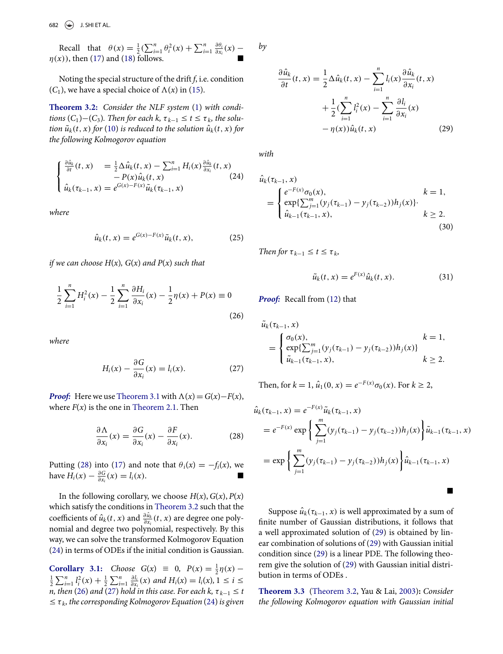Recall that  $\theta(x) = \frac{1}{2} \left( \sum_{i=1}^{n} \theta_i^2(x) + \sum_{i=1}^{n} \frac{\partial \theta_i}{\partial x_i} \right)$  $rac{\partial \theta_i}{\partial x_i}(x)$  –  $\eta(x)$ , then [\(17\)](#page-3-4) and [\(18\)](#page-3-5) follows.

Noting the special structure of the drift *f*, i.e. condition  $(C_1)$ , we have a special choice of  $\Lambda(x)$  in [\(15\)](#page-3-6).

<span id="page-4-1"></span>**Theorem 3.2:** *Consider the NLF system* [\(1\)](#page-1-2) *with conditions*  $(C_1) - (C_3)$ *. Then for each k,*  $\tau_{k-1} \leq t \leq \tau_k$ *, the solution*  $\tilde{u}_k(t, x)$  *for* [\(10\)](#page-2-2) *is reduced to the solution*  $\hat{u}_k(t, x)$  *for the following Kolmogorov equation*

$$
\begin{cases} \frac{\partial \hat{u}_k}{\partial t}(t,x) = \frac{1}{2} \Delta \hat{u}_k(t,x) - \sum_{i=1}^n H_i(x) \frac{\partial \hat{u}_k}{\partial x_i}(t,x) \\ -P(x) \hat{u}_k(t,x) \qquad (24) \\ \hat{u}_k(\tau_{k-1},x) = e^{G(x) - F(x)} \tilde{u}_k(\tau_{k-1},x) \end{cases}
$$

*where*

$$
\hat{u}_k(t,x) = e^{G(x) - F(x)} \tilde{u}_k(t,x), \qquad (25)
$$

*if we can choose H*(*x*)*, G*(*x*) *and P*(*x*) *such that*

$$
\frac{1}{2}\sum_{i=1}^{n}H_{i}^{2}(x)-\frac{1}{2}\sum_{i=1}^{n}\frac{\partial H_{i}}{\partial x_{i}}(x)-\frac{1}{2}\eta(x)+P(x)\equiv 0
$$
\n(26)

*where*

$$
H_i(x) - \frac{\partial G}{\partial x_i}(x) = l_i(x). \tag{27}
$$

*Proof:* Here we use [Theorem 3.1](#page-3-7) with  $\Lambda(x) = G(x) - F(x)$ , where  $F(x)$  is the one in [Theorem 2.1.](#page-2-7) Then

$$
\frac{\partial \Lambda}{\partial x_i}(x) = \frac{\partial G}{\partial x_i}(x) - \frac{\partial F}{\partial x_i}(x). \tag{28}
$$

Putting [\(28\)](#page-4-0) into [\(17\)](#page-3-4) and note that  $\theta_i(x) = -f_i(x)$ , we have  $H_i(x) - \frac{\partial G}{\partial x_i}(x) = l_i(x)$ . ■

In the following corollary, we choose  $H(x)$ ,  $G(x)$ ,  $P(x)$ which satisfy the conditions in [Theorem 3.2](#page-4-1) such that the coefficients of  $\hat{u}_k(t, x)$  and  $\frac{\partial \hat{u}_k}{\partial x_i}(t, x)$  are degree one polynomial and degree two polynomial, respectively. By this way, we can solve the transformed Kolmogorov Equation [\(24\)](#page-4-2) in terms of ODEs if the initial condition is Gaussian.

**Corollary 3.1:** *Choose*  $G(x) \equiv 0$ ,  $P(x) = \frac{1}{2}\eta(x) - \frac{1}{2}\sum_{i=1}^{n} P(x) + \frac{1}{2}\sum_{i=1}^{n} \frac{\partial l_i}{\partial x_i}(x)$  and  $H_i(x) - l_i(x) + l_i \le i \le n$  $\frac{1}{2} \sum_{i=1}^{n} l_i^2(x) + \frac{1}{2} \sum_{i=1}^{n} \frac{\partial l_i}{\partial x}$  $\frac{\partial l_i}{\partial x_i}(x)$  *and*  $H_i(x) = l_i(x)$ , 1 ≤ *i* ≤ *n, then* [\(26\)](#page-4-3) and [\(27\)](#page-4-4) hold in this case. For each k,  $\tau_{k-1} \leq t$  $\leq \tau_k$ , the corresponding Kolmogorov Equation [\(24\)](#page-4-2) is given *by*

<span id="page-4-5"></span>
$$
\frac{\partial \hat{u}_k}{\partial t}(t, x) = \frac{1}{2} \Delta \hat{u}_k(t, x) - \sum_{i=1}^n l_i(x) \frac{\partial \hat{u}_k}{\partial x_i}(t, x) \n+ \frac{1}{2} (\sum_{i=1}^n l_i^2(x) - \sum_{i=1}^n \frac{\partial l_i}{\partial x_i}(x) \n- \eta(x)) \hat{u}_k(t, x)
$$
\n(29)

*with*

<span id="page-4-2"></span>
$$
\hat{u}_{k}(\tau_{k-1}, x) = \begin{cases}\ne^{-F(x)} \sigma_{0}(x), & k = 1, \\
\exp\{\sum_{j=1}^{m} (y_{j}(\tau_{k-1}) - y_{j}(\tau_{k-2}))h_{j}(x)\} & k \ge 2, \\
\hat{u}_{k-1}(\tau_{k-1}, x), & k \ge 2.\n\end{cases}
$$
\n(30)

*Then for*  $\tau_{k-1} \leq t \leq \tau_k$ ,

<span id="page-4-6"></span>
$$
\tilde{u}_k(t,x) = e^{F(x)} \hat{u}_k(t,x).
$$
\n(31)

<span id="page-4-3"></span>*Proof:* Recall from [\(12\)](#page-2-8) that

$$
\tilde{u}_{k}(\tau_{k-1}, x) = \begin{cases}\n\sigma_{0}(x), & k = 1, \\
\exp\{\sum_{j=1}^{m} (y_{j}(\tau_{k-1}) - y_{j}(\tau_{k-2}))h_{j}(x)\} & k \ge 2, \\
\tilde{u}_{k-1}(\tau_{k-1}, x), & k \ge 2.\n\end{cases}
$$

<span id="page-4-4"></span>Then, for  $k = 1$ ,  $\hat{u}_1(0, x) = e^{-F(x)} \sigma_0(x)$ . For  $k \ge 2$ ,

<span id="page-4-0"></span>
$$
\hat{u}_k(\tau_{k-1}, x) = e^{-F(x)} \tilde{u}_k(\tau_{k-1}, x)
$$
\n
$$
= e^{-F(x)} \exp \left\{ \sum_{j=1}^m (y_j(\tau_{k-1}) - y_j(\tau_{k-2})) h_j(x) \right\} \tilde{u}_{k-1}(\tau_{k-1}, x)
$$
\n
$$
= \exp \left\{ \sum_{j=1}^m (y_j(\tau_{k-1}) - y_j(\tau_{k-2})) h_j(x) \right\} \hat{u}_{k-1}(\tau_{k-1}, x)
$$

Suppose  $\hat{u}_k(\tau_{k-1}, x)$  is well approximated by a sum of finite number of Gaussian distributions, it follows that a well approximated solution of [\(29\)](#page-4-5) is obtained by linear combination of solutions of [\(29\)](#page-4-5) with Gaussian initial condition since [\(29\)](#page-4-5) is a linear PDE. The following theorem give the solution of [\(29\)](#page-4-5) with Gaussian initial distribution in terms of ODEs .

<span id="page-4-7"></span>**Theorem 3.3** [\(Theorem 3.2,](#page-4-1) Yau & Lai, [2003\)](#page-8-14)**:** *Consider the following Kolmogorov equation with Gaussian initial*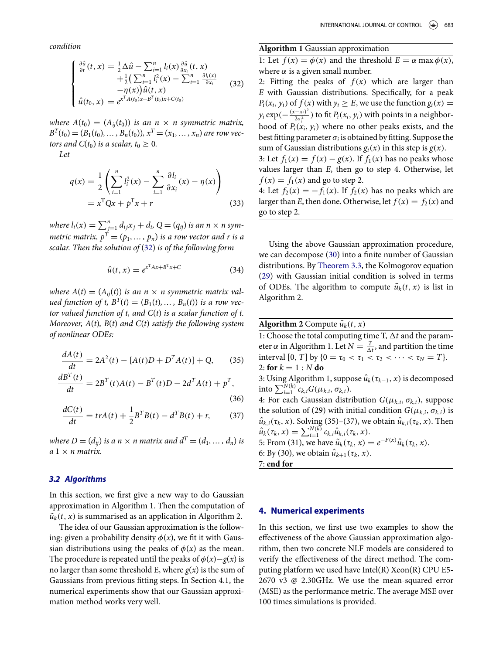*condition*

$$
\begin{cases} \frac{\partial \hat{u}}{\partial t}(t, x) = \frac{1}{2} \Delta \hat{u} - \sum_{i=1}^{n} l_i(x) \frac{\partial \hat{u}}{\partial x_i}(t, x) \\ + \frac{1}{2} (\sum_{i=1}^{n} l_i^2(x) - \sum_{i=1}^{n} \frac{\partial l_i(x)}{\partial x_i} \\ - \eta(x)) \hat{u}(t, x) \\ \hat{u}(t_0, x) = e^{x^T A(t_0) x + B^T(t_0) x + C(t_0)} \end{cases} (32)
$$

*where*  $A(t_0) = (A_{ij}(t_0))$  *is an n* × *n symmetric matrix,*  $B<sup>T</sup>(t<sub>0</sub>) = (B<sub>1</sub>(t<sub>0</sub>), ..., B<sub>n</sub>(t<sub>0</sub>)), x<sup>T</sup> = (x<sub>1</sub>, ..., x<sub>n</sub>)$  are row vec*tors and*  $C(t_0)$  *is a scalar,*  $t_0 \geq 0$ *.* 

*Let*

$$
q(x) = \frac{1}{2} \left( \sum_{i=1}^{n} l_i^2(x) - \sum_{i=1}^{n} \frac{\partial l_i}{\partial x_i}(x) - \eta(x) \right)
$$
  
=  $x^{\mathrm{T}} Qx + p^{\mathrm{T}} x + r$  (33)

*where*  $l_i(x) = \sum_{j=1}^n d_{ij}x_j + d_i$ ,  $Q = (q_{ij})$  *is an n* × *n symmetric matrix,*  $p^T=(p_1,\ldots,p_n)$  *is a row vector and r is a scalar. Then the solution of* [\(32\)](#page-5-1) *is of the following form*

$$
\hat{u}(t,x) = e^{x^{\mathrm{T}}Ax + B^{\mathrm{T}}x + C} \tag{34}
$$

*where*  $A(t) = (A_{ij}(t))$  *is an n* × *n symmetric matrix valued function of t,*  $B^{T}(t) = (B_1(t), ..., B_n(t))$  *is a row vector valued function of t, and C*(*t*) *is a scalar function of t. Moreover, A*(*t*)*, B*(*t*) *and C*(*t*) *satisfy the following system of nonlinear ODEs:*

$$
\frac{dA(t)}{dt} = 2A^2(t) - [A(t)D + D^T A(t)] + Q,\qquad(35)
$$

$$
\frac{dB^{T}(t)}{dt} = 2B^{T}(t)A(t) - B^{T}(t)D - 2d^{T}A(t) + p^{T},
$$
\n(36)

$$
\frac{dC(t)}{dt} = trA(t) + \frac{1}{2}B^{T}B(t) - d^{T}B(t) + r,
$$
 (37)

*where*  $D = (d_{ij})$  *is a n*  $\times$  *n matrix and*  $d^T = (d_1, \ldots, d_n)$  *is a* 1 × *n matrix.*

#### *3.2 Algorithms*

In this section, we first give a new way to do Gaussian approximation in Algorithm 1. Then the computation of  $\tilde{u}_k(t, x)$  is summarised as an application in Algorithm 2.

The idea of our Gaussian approximation is the following: given a probability density  $\phi(x)$ , we fit it with Gaussian distributions using the peaks of  $\phi(x)$  as the mean. The procedure is repeated until the peaks of  $\phi(x) - g(x)$  is no larger than some threshold E, where  $g(x)$  is the sum of Gaussians from previous fitting steps. In Section 4.1, the numerical experiments show that our Gaussian approximation method works very well.

# **Algorithm 1** Gaussian approximation

1: Let  $f(x) = \phi(x)$  and the threshold  $E = \alpha \max \phi(x)$ , where  $\alpha$  is a given small number.

<span id="page-5-1"></span>2: Fitting the peaks of  $f(x)$  which are larger than *E* with Gaussian distributions. Specifically, for a peak  $P_i(x_i, y_i)$  of  $f(x)$  with  $y_i \ge E$ , we use the function  $g_i(x) =$  $y_i$  exp( $-\frac{(x-x_i)^2}{2\sigma_i^2}$ ) to fit  $P_i(x_i, y_i)$  with points in a neighborhood of  $P_i(x_i, y_i)$  where no other peaks exists, and the best fitting parameter  $\sigma_i$  is obtained by fitting. Suppose the sum of Gaussian distributions  $g_i(x)$  in this step is  $g(x)$ .

3: Let  $f_1(x) = f(x) - g(x)$ . If  $f_1(x)$  has no peaks whose values larger than *E*, then go to step 4. Otherwise, let  $f(x) = f_1(x)$  and go to step 2.

4: Let  $f_2(x) = -f_1(x)$ . If  $f_2(x)$  has no peaks which are larger than *E*, then done. Otherwise, let  $f(x) = f_2(x)$  and go to step 2.

Using the above Gaussian approximation procedure, we can decompose [\(30\)](#page-4-6) into a finite number of Gaussian distributions. By [Theorem 3.3,](#page-4-7) the Kolmogorov equation [\(29\)](#page-4-5) with Gaussian initial condition is solved in terms of ODEs. The algorithm to compute  $\tilde{u}_k(t, x)$  is list in Algorithm 2.

|  | <b>Algorithm 2</b> Compute $\tilde{u}_k(t, x)$ |  |
|--|------------------------------------------------|--|
|--|------------------------------------------------|--|

1: Choose the total computing time T,  $\Delta t$  and the parameter  $\alpha$  in Algorithm 1. Let  $N = \frac{T}{\Delta t}$ , and partition the time interval [0, *T*] by { $0 = \tau_0 < \tau_1 < \tau_2 < \cdots < \tau_N = T$  }. 2: **for**  $k = 1 : N$  **do** 3: Using Algorithm 1, suppose  $\hat{u}_k(\tau_{k-1}, x)$  is decomposed  $int_0^{\overline{N}(k)} c_{k,i} G(\mu_{k,i}, \sigma_{k,i}).$ 4: For each Gaussian distribution  $G(\mu_{k,i}, \sigma_{k,i})$ , suppose the solution of (29) with initial condition  $G(\mu_{k,i}, \sigma_{k,i})$  is  $\hat{u}_{k,i}(\tau_k, x)$ . Solving (35)–(37), we obtain  $\hat{u}_{k,i}(\tau_k, x)$ . Then  $\hat{u}_k(\tau_k, x) = \sum_{i=1}^{N(k)} c_{k,i} \hat{u}_{k,i}(\tau_k, x).$ 5: From (31), we have  $\tilde{u}_k(\tau_k, x) = e^{-F(x)} \hat{u}_k(\tau_k, x)$ . 6: By (30), we obtain  $\hat{u}_{k+1}(\tau_k, x)$ . 7: **end for**

### **4. Numerical experiments**

<span id="page-5-0"></span>In this section, we first use two examples to show the effectiveness of the above Gaussian approximation algorithm, then two concrete NLF models are considered to verify the effectiveness of the direct method. The computing platform we used have Intel(R) Xeon(R) CPU E5- 2670 v3 @ 2.30GHz. We use the mean-squared error (MSE) as the performance metric. The average MSE over 100 times simulations is provided.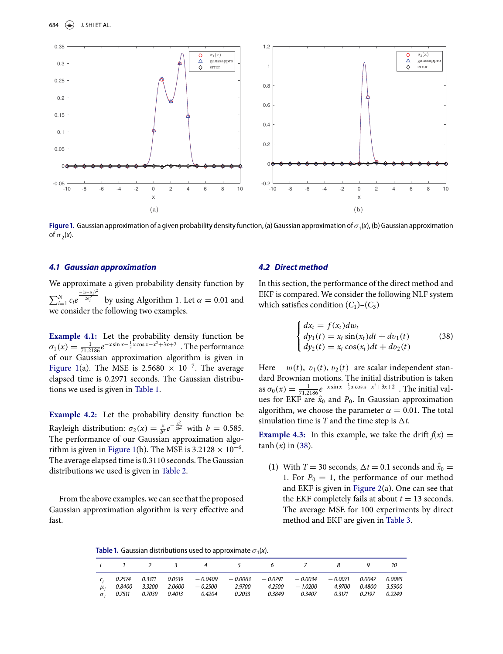<span id="page-6-0"></span>

**Figure 1.** Gaussian approximation of a given probability density function, (a) Gaussian approximation of  $\sigma_1(x)$ , (b) Gaussian approximation of  $\sigma_1(x)$ of  $\sigma_2(x)$ .

### *4.1 Gaussian approximation*

We approximate a given probability density function by  $\sum_{i=1}^{N} c_i e$  $\frac{-(x-\mu_i)^2}{2\sigma_i^2}$  by using Algorithm 1. Let α = 0.01 and we consider the following two examples.

**Example 4.1:** Let the probability density function be  $\sigma_1(x) = \frac{1}{71.2186} e^{-x \sin x - \frac{1}{2}x \cos x - x^2 + 3x + 2}$ . The performance of our Gaussian approximation algorithm is given in [Figure 1\(](#page-6-0)a). The MSE is 2.5680  $\times$  10<sup>-7</sup>. The average elapsed time is 0.2971 seconds. The Gaussian distributions we used is given in [Table 1.](#page-6-1)

**Example 4.2:** Let the probability density function be Rayleigh distribution:  $\sigma_2(x) = \frac{x}{b^2} e^{-\frac{x^2}{2b^2}}$  with  $b = 0.585$ . The performance of our Gaussian approximation algo-rithm is given in [Figure 1\(](#page-6-0)b). The MSE is  $3.2128 \times 10^{-6}$ . The average elapsed time is 0.3110 seconds. The Gaussian distributions we used is given in [Table 2.](#page-7-0)

From the above examples, we can see that the proposed Gaussian approximation algorithm is very effective and fast.

## *4.2 Direct method*

In this section, the performance of the direct method and EKF is compared. We consider the following NLF system which satisfies condition  $(C_1)$ – $(C_3)$ 

<span id="page-6-2"></span>
$$
\begin{cases}\ndx_t = f(x_t) \, dv_t \\
dy_1(t) = x_t \sin(x_t) \, dt + dv_1(t) \\
dy_2(t) = x_t \cos(x_t) \, dt + dv_2(t)\n\end{cases} \tag{38}
$$

Here  $w(t)$ ,  $v_1(t)$ ,  $v_2(t)$  are scalar independent standard Brownian motions. The initial distribution is taken as  $\sigma_0(x) = \frac{1}{71.2186} e^{-x \sin x - \frac{1}{2}x \cos x - x^2 + 3x + 2}$ . The initial values for EKF are  $\hat{x}_0$  and  $P_0$ . In Gaussian approximation algorithm, we choose the parameter  $\alpha = 0.01$ . The total simulation time is  $T$  and the time step is  $\Delta t$ .

**Example 4.3:** In this example, we take the drift  $f(x) =$  $tanh(x)$  in [\(38\)](#page-6-2).

(1) With  $T = 30$  seconds,  $\Delta t = 0.1$  seconds and  $\hat{x}_0 =$ 1. For  $P_0 = 1$ , the performance of our method and EKF is given in [Figure 2\(](#page-7-1)a). One can see that the EKF completely fails at about  $t = 13$  seconds. The average MSE for 100 experiments by direct method and EKF are given in [Table 3.](#page-7-2)

<span id="page-6-1"></span>**Table 1.** Gaussian distributions used to approximate  $\sigma_1(x)$ .

|                       |                  |                  | <i>i</i> 1 2 3 | $\overline{4}$                                                                          | $\sim$ $\sim$ $\sim$ $\sim$ |                  | $\delta$ /          |                  |                            | 10                         |
|-----------------------|------------------|------------------|----------------|-----------------------------------------------------------------------------------------|-----------------------------|------------------|---------------------|------------------|----------------------------|----------------------------|
| $\mu_i$<br>$\sigma$ . | 0.2574<br>0.8400 | 0.3311<br>3.3200 |                | $0.0539$ $-0.0409$ $-0.0063$ $-0.0791$ $-0.0034$ $-0.0071$<br>2.0600 — 0.2500<br>0.4204 | 2.9700<br>0.2033            | 4.2500<br>0.3849 | $-1.0200$<br>0.3407 | 4.9700<br>0.3171 | 0.0047<br>0.4800<br>0.2197 | 0.0085<br>3.5900<br>0.2249 |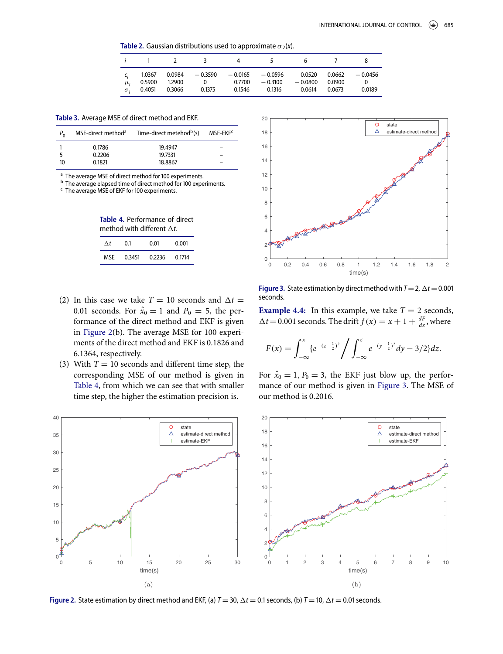<span id="page-7-0"></span>**Table 2.** Gaussian distributions used to approximate  $\sigma_2(x)$ .

|                             | $\frac{1}{2}$ 1 2          |                  |                                                                             | $\overline{5}$                       | h                             |                  |                                  |
|-----------------------------|----------------------------|------------------|-----------------------------------------------------------------------------|--------------------------------------|-------------------------------|------------------|----------------------------------|
| $\mu_i$<br>$\sigma_{\cdot}$ | 1.0367<br>0.5900<br>0.4051 | 1.2900<br>0.3066 | $0.0984$ $-0.3590$ $-0.0165$ $-0.0596$<br>$\overline{\mathbf{0}}$<br>0.1375 | $0.7700 - 0.3100$<br>0.1546   0.1316 | 0.0520<br>$-0.0800$<br>0.0614 | 0.0900<br>0.0673 | $0.0662 - 0.0456$<br>0<br>0.0189 |

<span id="page-7-2"></span>Table 3. Average MSE of direct method and EKF.

|    | MSE-direct method <sup>a</sup> | Time-direct metehod <sup>b</sup> (s) | MSE-EKF <sup>c</sup> |
|----|--------------------------------|--------------------------------------|----------------------|
|    | 0.1786                         | 19.4947                              |                      |
|    | 0.2206                         | 19.7331                              |                      |
| 10 | 0.1821                         | 18.8867                              |                      |

<sup>a</sup> The average MSE of direct method for 100 experiments.

 $<sup>b</sup>$  The average elapsed time of direct method for 100 experiments.</sup>

<span id="page-7-3"></span> $c$  The average MSE of EKF for 100 experiments.

Table 4. Performance of direct method with different  $\Delta t$ .

| Λt  | 0.1    | 0.01   | 0.001  |
|-----|--------|--------|--------|
| MSF | 0.3451 | 0.2236 | 0.1714 |

- (2) In this case we take  $T = 10$  seconds and  $\Delta t =$ 0.01 seconds. For  $\hat{x}_0 = 1$  and  $P_0 = 5$ , the performance of the direct method and EKF is given in [Figure 2\(](#page-7-1)b). The average MSE for 100 experiments of the direct method and EKF is 0.1826 and 6.1364, respectively.
- (3) With  $T = 10$  seconds and different time step, the corresponding MSE of our method is given in [Table 4,](#page-7-3) from which we can see that with smaller time step, the higher the estimation precision is.

<span id="page-7-4"></span>

**Figure 3.** State estimation by direct method with  $T = 2$ ,  $\Delta t = 0.001$ seconds.

**Example 4.4:** In this example, we take  $T = 2$  seconds,  $\Delta t = 0.001$  seconds. The drift  $f(x) = x + 1 + \frac{dF}{dx}$ , where

$$
F(x) = \int_{-\infty}^{x} \left\{ e^{-(z-\frac{1}{2})^2} \right\} \int_{-\infty}^{z} e^{-(y-\frac{1}{2})^2} dy - \frac{3}{2} dz.
$$

For  $\hat{x}_0 = 1$ ,  $P_0 = 3$ , the EKF just blow up, the performance of our method is given in [Figure 3.](#page-7-4) The MSE of our method is 0.2016.

<span id="page-7-1"></span>

**Figure 2.** State estimation by direct method and EKF, (a)  $T = 30$ ,  $\Delta t = 0.1$  seconds, (b)  $T = 10$ ,  $\Delta t = 0.01$  seconds.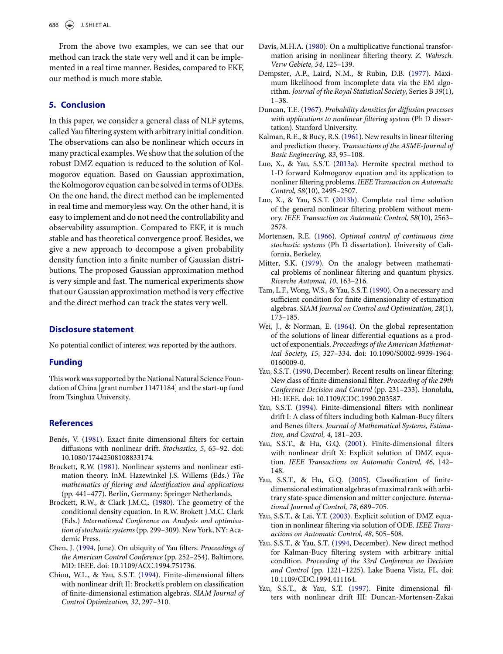From the above two examples, we can see that our method can track the state very well and it can be implemented in a real time manner. Besides, compared to EKF, our method is much more stable.

# <span id="page-8-18"></span>**5. Conclusion**

In this paper, we consider a general class of NLF sytems, called Yau filtering system with arbitrary initial condition. The observations can also be nonlinear which occurs in many practical examples.We show that the solution of the robust DMZ equation is reduced to the solution of Kolmogorov equation. Based on Gaussian approximation, the Kolmogorov equation can be solved in terms of ODEs. On the one hand, the direct method can be implemented in real time and memoryless way. On the other hand, it is easy to implement and do not need the controllability and observability assumption. Compared to EKF, it is much stable and has theoretical convergence proof. Besides, we give a new approach to decompose a given probability density function into a finite number of Gaussian distributions. The proposed Gaussian approximation method is very simple and fast. The numerical experiments show that our Gaussian approximation method is very effective and the direct method can track the states very well.

# **Disclosure statement**

No potential conflict of interest was reported by the authors.

### **Funding**

This work was supported by the National Natural Science Foundation of China [grant number 11471184] and the start-up fund from Tsinghua University.

# **References**

- <span id="page-8-12"></span>Benés, V. [\(1981\)](#page-0-0). Exact finite dimensional filters for certain diffusions with nonlinear drift. *Stochastics, 5*, 65–92. doi: [10.1080/17442508108833174.](http://dx.doi.org/10.1080/17442508108833174)
- <span id="page-8-5"></span>Brockett, R.W. [\(1981\)](#page-0-1). Nonlinear systems and nonlinear estimation theory. InM. Hazewinkel J.S. Willems (Eds.) *The mathematics of filering and identification and applications* (pp. 441–477). Berlin, Germany: Springer Netherlands.
- <span id="page-8-4"></span>Brockett, R.W., & Clark J.M.C,. [\(1980\)](#page-0-2). The geometry of the conditional density equation. In R.W. Brokett J.M.C. Clark (Eds.) *International Conference on Analysis and optimisation of stochastic systems*(pp. 299–309). New York, NY: Academic Press.
- <span id="page-8-11"></span>Chen, J. [\(1994,](#page-0-3) June). On ubiquity of Yau filters. *Proceedings of the American Control Conference* (pp. 252–254). Baltimore, MD: IEEE. doi: [10.1109/ACC.1994.751736.](http://dx.doi.org/10.1109/ACC.1994.751736)
- <span id="page-8-7"></span>Chiou, W.L., & Yau, S.S.T. [\(1994\)](#page-0-4). Finite-dimensional filters with nonlinear drift II: Brockett's problem on classification of finite-dimensional estimation algebras. *SIAM Journal of Control Optimization, 32*, 297–310.
- <span id="page-8-19"></span>Davis, M.H.A. [\(1980\)](#page-1-5). On a multiplicative functional transformation arising in nonlinear filtering theory. *Z. Wahrsch. Verw Gebiete, 54*, 125–139.
- <span id="page-8-17"></span>Dempster, A.P., Laird, N.M., & Rubin, D.B. [\(1977\)](#page-1-6). Maximum likelihood from incomplete data via the EM algorithm. *Journal of the Royal Statistical Society*, Series B *39*(1), 1–38.
- <span id="page-8-1"></span>Duncan, T.E. [\(1967\)](#page-0-5). *Probability densities for diffusion processes with applications to nonlinear filtering system* (Ph D dissertation). Stanford University.
- <span id="page-8-0"></span>Kalman, R.E., & Bucy, R.S. [\(1961\)](#page-0-6). New results in linear filtering and prediction theory. *Transactions of the ASME-Journal of Basic Engineering, 83*, 95–108.
- <span id="page-8-15"></span>Luo, X., & Yau, S.S.T. [\(2013a\)](#page-1-7). Hermite spectral method to 1-D forward Kolmogorov equation and its application to nonliner filtering problems. *IEEE Transaction on Automatic Control, 58*(10), 2495–2507.
- <span id="page-8-16"></span>Luo, X., & Yau, S.S.T. [\(2013b\)](#page-1-8). Complete real time solution of the general nonlinear filtering problem without memory. *IEEE Transaction on Automatic Control, 58*(10), 2563– 2578.
- <span id="page-8-2"></span>Mortensen, R.E. [\(1966\)](#page-0-7). *Optimal control of continuous time stochastic systems* (Ph D dissertation). University of California, Berkeley.
- <span id="page-8-6"></span>Mitter, S.K. [\(1979\)](#page-0-8). On the analogy between mathematical problems of nonlinear filtering and quantum physics. *Ricerche Automat, 10*, 163–216.
- <span id="page-8-8"></span>Tam, L.F., Wong, W.S., & Yau, S.S.T. [\(1990\)](#page-0-9). On a necessary and sufficient condition for finite dimensionality of estimation algebras. *SIAM Journal on Control and Optimization, 28*(1), 173–185.
- <span id="page-8-3"></span>Wei, J., & Norman, E. [\(1964\)](#page-0-10). On the global representation of the solutions of linear differential equations as a product of exponentials. *Proceedings of the American Mathematical Society, 15*[, 327–334. doi: 10.1090/S0002-9939-1964-](http://dx.doi.org/10.1090/S0002-9939-1964-0160009-0) 0160009-0.
- <span id="page-8-20"></span>Yau, S.S.T. [\(1990,](#page-1-9) December). Recent results on linear filtering: New class of finite dimensional filter. *Proceeding of the 29th Conference Decision and Control* (pp. 231–233). Honolulu, HI: IEEE. doi: [10.1109/CDC.1990.203587.](http://dx.doi.org/10.1109/CDC.1990.203587)
- <span id="page-8-9"></span>Yau, S.S.T. [\(1994\)](#page-0-11). Finite-dimensional filters with nonlinear drift I: A class of filters including both Kalman-Bucy filters and Benes filters. *Journal of Mathematical Systems, Estimation, and Control, 4*, 181–203.
- <span id="page-8-13"></span>Yau, S.S.T., & Hu, G.Q. [\(2001\)](#page-0-12). Finite-dimensional filters with nonlinear drift X: Explicit solution of DMZ equation. *IEEE Transactions on Automatic Control, 46*, 142– 148.
- <span id="page-8-10"></span>Yau, S.S.T., & Hu, G.Q. [\(2005\)](#page-0-13). Classification of finitedimensional estimation algebras of maximal rank with arbitrary state-space dimension and mitter conjecture. *International Journal of Control, 78*, 689–705.
- <span id="page-8-14"></span>Yau, S.S.T., & Lai, Y.T. [\(2003\)](#page-0-14). Explicit solution of DMZ equation in nonlinear filtering via solution of ODE. *IEEE Transactions on Automatic Control, 48*, 505–508.
- Yau, S.S.T., & Yau, S.T. (1994, December). New direct method for Kalman-Bucy filtering system with arbitrary initial condition. *Proceeding of the 33rd Conference on Decision and Control* [\(pp. 1221–1225\). Lake Buena Vista, FL. doi:](http://dx.doi.org/ \ignorespaces 10.1109/CDC.1994.411164) 10.1109/CDC.1994.411164.
- Yau, S.S.T., & Yau, S.T. (1997). Finite dimensional filters with nonlinear drift III: Duncan-Mortensen-Zakai